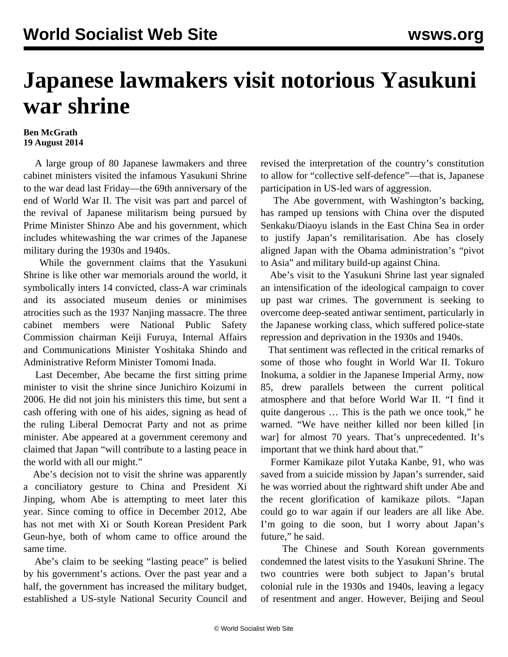## **Japanese lawmakers visit notorious Yasukuni war shrine**

## **Ben McGrath 19 August 2014**

 A large group of 80 Japanese lawmakers and three cabinet ministers visited the infamous Yasukuni Shrine to the war dead last Friday—the 69th anniversary of the end of World War II. The visit was part and parcel of the revival of Japanese militarism being pursued by Prime Minister Shinzo Abe and his government, which includes whitewashing the war crimes of the Japanese military during the 1930s and 1940s.

 While the government claims that the Yasukuni Shrine is like other war memorials around the world, it symbolically inters 14 convicted, class-A war criminals and its associated museum denies or minimises atrocities such as the 1937 Nanjing massacre. The three cabinet members were National Public Safety Commission chairman Keiji Furuya, Internal Affairs and Communications Minister Yoshitaka Shindo and Administrative Reform Minister Tomomi Inada.

 Last December, Abe became the first sitting prime minister to visit the shrine since Junichiro Koizumi in 2006. He did not join his ministers this time, but sent a cash offering with one of his aides, signing as head of the ruling Liberal Democrat Party and not as prime minister. Abe appeared at a government ceremony and claimed that Japan "will contribute to a lasting peace in the world with all our might."

 Abe's decision not to visit the shrine was apparently a conciliatory gesture to China and President Xi Jinping, whom Abe is attempting to meet later this year. Since coming to office in December 2012, Abe has not met with Xi or South Korean President Park Geun-hye, both of whom came to office around the same time.

 Abe's claim to be seeking "lasting peace" is belied by his government's actions. Over the past year and a half, the government has increased the military budget, established a US-style National Security Council and revised the interpretation of the country's constitution to allow for "collective self-defence"—that is, Japanese participation in US-led wars of aggression.

 The Abe government, with Washington's backing, has ramped up tensions with China over the disputed Senkaku/Diaoyu islands in the East China Sea in order to justify Japan's remilitarisation. Abe has closely aligned Japan with the Obama administration's "pivot to Asia" and military build-up against China.

 Abe's visit to the Yasukuni Shrine last year signaled an intensification of the ideological campaign to cover up past war crimes. The government is seeking to overcome deep-seated antiwar sentiment, particularly in the Japanese working class, which suffered police-state repression and deprivation in the 1930s and 1940s.

 That sentiment was reflected in the critical remarks of some of those who fought in World War II. Tokuro Inokuma, a soldier in the Japanese Imperial Army, now 85, drew parallels between the current political atmosphere and that before World War II. "I find it quite dangerous … This is the path we once took," he warned. "We have neither killed nor been killed [in war] for almost 70 years. That's unprecedented. It's important that we think hard about that."

 Former Kamikaze pilot Yutaka Kanbe, 91, who was saved from a suicide mission by Japan's surrender, said he was worried about the rightward shift under Abe and the recent glorification of kamikaze pilots. "Japan could go to war again if our leaders are all like Abe. I'm going to die soon, but I worry about Japan's future," he said.

 The Chinese and South Korean governments condemned the latest visits to the Yasukuni Shrine. The two countries were both subject to Japan's brutal colonial rule in the 1930s and 1940s, leaving a legacy of resentment and anger. However, Beijing and Seoul